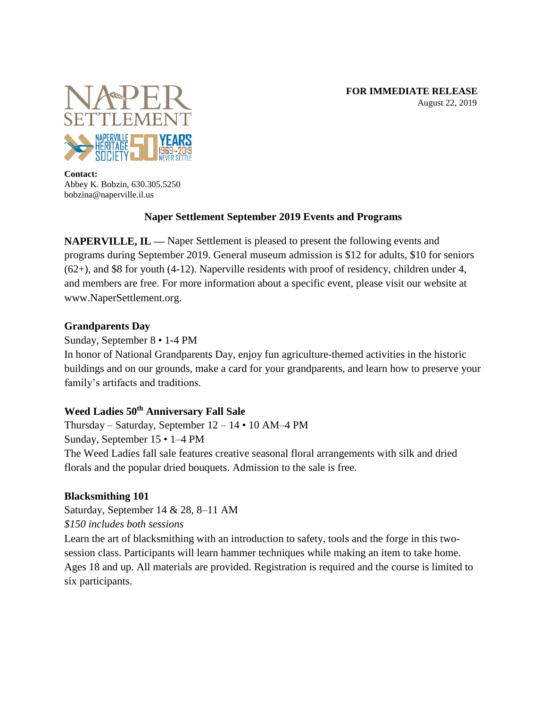

**Contact:** Abbey K. Bobzin, 630.305.5250 bobzina@naperville.il.us

## **Naper Settlement September 2019 Events and Programs**

**NAPERVILLE, IL —** Naper Settlement is pleased to present the following events and programs during September 2019. General museum admission is \$12 for adults, \$10 for seniors (62+), and \$8 for youth (4-12). Naperville residents with proof of residency, children under 4, and members are free. For more information about a specific event, please visit our website at www.NaperSettlement.org.

## **Grandparents Day**

Sunday, September 8 • 1-4 PM

In honor of National Grandparents Day, enjoy fun agriculture-themed activities in the historic buildings and on our grounds, make a card for your grandparents, and learn how to preserve your family's artifacts and traditions.

# **Weed Ladies 50th Anniversary Fall Sale**

Thursday – Saturday, September  $12 - 14 \cdot 10$  AM–4 PM Sunday, September 15 • 1–4 PM The Weed Ladies fall sale features creative seasonal floral arrangements with silk and dried florals and the popular dried bouquets. Admission to the sale is free.

# **Blacksmithing 101**

Saturday, September 14 & 28, 8–11 AM *\$150 includes both sessions*

Learn the art of blacksmithing with an introduction to safety, tools and the forge in this twosession class. Participants will learn hammer techniques while making an item to take home. Ages 18 and up. All materials are provided. Registration is required and the course is limited to six participants.